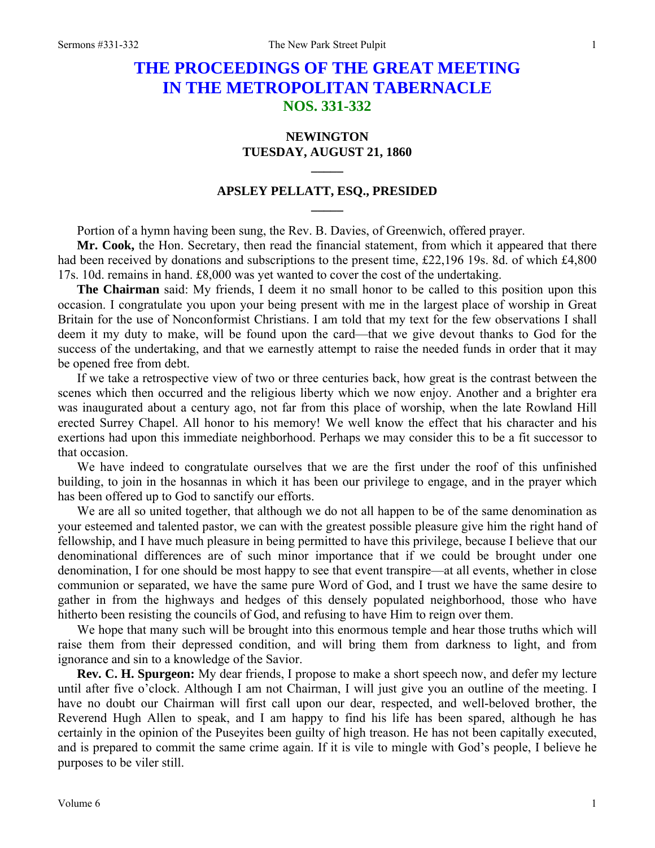# **THE PROCEEDINGS OF THE GREAT MEETING IN THE METROPOLITAN TABERNACLE NOS. 331-332**

## **NEWINGTON TUESDAY, AUGUST 21, 1860**

**\_\_\_\_\_** 

## **APSLEY PELLATT, ESQ., PRESIDED \_\_\_\_\_**

Portion of a hymn having been sung, the Rev. B. Davies, of Greenwich, offered prayer.

**Mr. Cook,** the Hon. Secretary, then read the financial statement, from which it appeared that there had been received by donations and subscriptions to the present time, £22,196 19s. 8d. of which £4,800 17s. 10d. remains in hand. £8,000 was yet wanted to cover the cost of the undertaking.

**The Chairman** said: My friends, I deem it no small honor to be called to this position upon this occasion. I congratulate you upon your being present with me in the largest place of worship in Great Britain for the use of Nonconformist Christians. I am told that my text for the few observations I shall deem it my duty to make, will be found upon the card—that we give devout thanks to God for the success of the undertaking, and that we earnestly attempt to raise the needed funds in order that it may be opened free from debt.

If we take a retrospective view of two or three centuries back, how great is the contrast between the scenes which then occurred and the religious liberty which we now enjoy. Another and a brighter era was inaugurated about a century ago, not far from this place of worship, when the late Rowland Hill erected Surrey Chapel. All honor to his memory! We well know the effect that his character and his exertions had upon this immediate neighborhood. Perhaps we may consider this to be a fit successor to that occasion.

We have indeed to congratulate ourselves that we are the first under the roof of this unfinished building, to join in the hosannas in which it has been our privilege to engage, and in the prayer which has been offered up to God to sanctify our efforts.

We are all so united together, that although we do not all happen to be of the same denomination as your esteemed and talented pastor, we can with the greatest possible pleasure give him the right hand of fellowship, and I have much pleasure in being permitted to have this privilege, because I believe that our denominational differences are of such minor importance that if we could be brought under one denomination, I for one should be most happy to see that event transpire—at all events, whether in close communion or separated, we have the same pure Word of God, and I trust we have the same desire to gather in from the highways and hedges of this densely populated neighborhood, those who have hitherto been resisting the councils of God, and refusing to have Him to reign over them.

We hope that many such will be brought into this enormous temple and hear those truths which will raise them from their depressed condition, and will bring them from darkness to light, and from ignorance and sin to a knowledge of the Savior.

**Rev. C. H. Spurgeon:** My dear friends, I propose to make a short speech now, and defer my lecture until after five o'clock. Although I am not Chairman, I will just give you an outline of the meeting. I have no doubt our Chairman will first call upon our dear, respected, and well-beloved brother, the Reverend Hugh Allen to speak, and I am happy to find his life has been spared, although he has certainly in the opinion of the Puseyites been guilty of high treason. He has not been capitally executed, and is prepared to commit the same crime again. If it is vile to mingle with God's people, I believe he purposes to be viler still.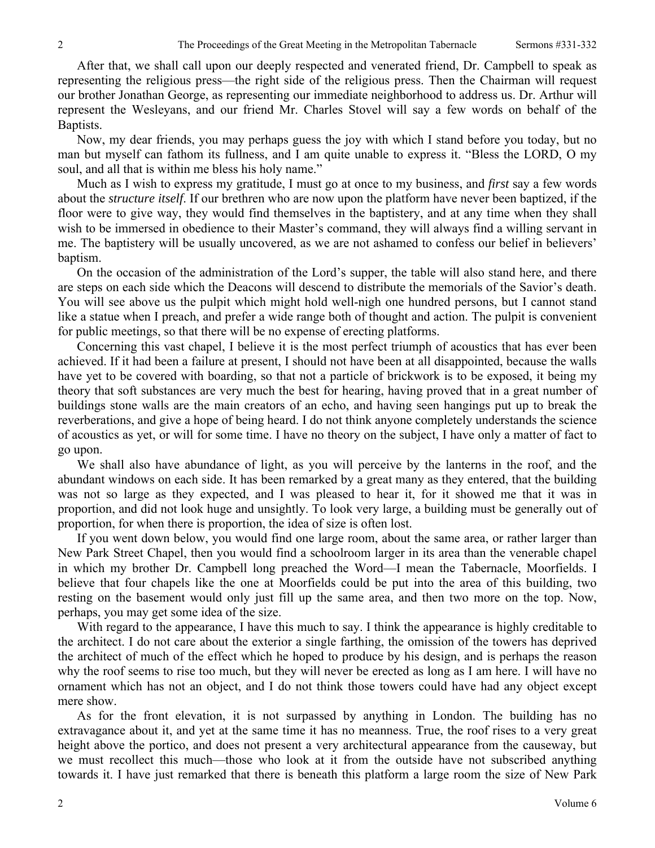After that, we shall call upon our deeply respected and venerated friend, Dr. Campbell to speak as representing the religious press—the right side of the religious press. Then the Chairman will request our brother Jonathan George, as representing our immediate neighborhood to address us. Dr. Arthur will represent the Wesleyans, and our friend Mr. Charles Stovel will say a few words on behalf of the Baptists.

Now, my dear friends, you may perhaps guess the joy with which I stand before you today, but no man but myself can fathom its fullness, and I am quite unable to express it. "Bless the LORD, O my soul, and all that is within me bless his holy name."

Much as I wish to express my gratitude, I must go at once to my business, and *first* say a few words about the *structure itself*. If our brethren who are now upon the platform have never been baptized, if the floor were to give way, they would find themselves in the baptistery, and at any time when they shall wish to be immersed in obedience to their Master's command, they will always find a willing servant in me. The baptistery will be usually uncovered, as we are not ashamed to confess our belief in believers' baptism.

On the occasion of the administration of the Lord's supper, the table will also stand here, and there are steps on each side which the Deacons will descend to distribute the memorials of the Savior's death. You will see above us the pulpit which might hold well-nigh one hundred persons, but I cannot stand like a statue when I preach, and prefer a wide range both of thought and action. The pulpit is convenient for public meetings, so that there will be no expense of erecting platforms.

Concerning this vast chapel, I believe it is the most perfect triumph of acoustics that has ever been achieved. If it had been a failure at present, I should not have been at all disappointed, because the walls have yet to be covered with boarding, so that not a particle of brickwork is to be exposed, it being my theory that soft substances are very much the best for hearing, having proved that in a great number of buildings stone walls are the main creators of an echo, and having seen hangings put up to break the reverberations, and give a hope of being heard. I do not think anyone completely understands the science of acoustics as yet, or will for some time. I have no theory on the subject, I have only a matter of fact to go upon.

We shall also have abundance of light, as you will perceive by the lanterns in the roof, and the abundant windows on each side. It has been remarked by a great many as they entered, that the building was not so large as they expected, and I was pleased to hear it, for it showed me that it was in proportion, and did not look huge and unsightly. To look very large, a building must be generally out of proportion, for when there is proportion, the idea of size is often lost.

If you went down below, you would find one large room, about the same area, or rather larger than New Park Street Chapel, then you would find a schoolroom larger in its area than the venerable chapel in which my brother Dr. Campbell long preached the Word—I mean the Tabernacle, Moorfields. I believe that four chapels like the one at Moorfields could be put into the area of this building, two resting on the basement would only just fill up the same area, and then two more on the top. Now, perhaps, you may get some idea of the size.

With regard to the appearance, I have this much to say. I think the appearance is highly creditable to the architect. I do not care about the exterior a single farthing, the omission of the towers has deprived the architect of much of the effect which he hoped to produce by his design, and is perhaps the reason why the roof seems to rise too much, but they will never be erected as long as I am here. I will have no ornament which has not an object, and I do not think those towers could have had any object except mere show.

As for the front elevation, it is not surpassed by anything in London. The building has no extravagance about it, and yet at the same time it has no meanness. True, the roof rises to a very great height above the portico, and does not present a very architectural appearance from the causeway, but we must recollect this much—those who look at it from the outside have not subscribed anything towards it. I have just remarked that there is beneath this platform a large room the size of New Park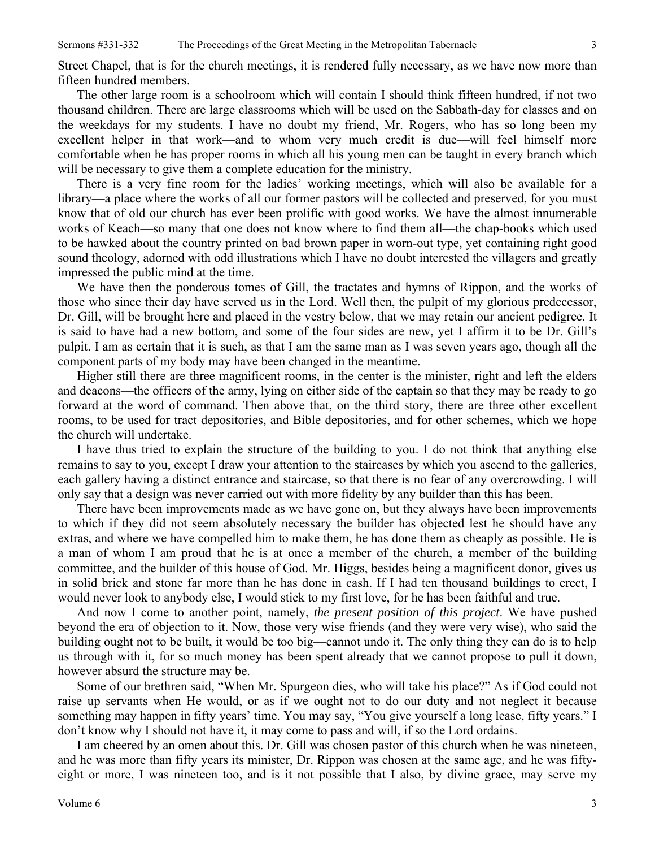Street Chapel, that is for the church meetings, it is rendered fully necessary, as we have now more than fifteen hundred members.

The other large room is a schoolroom which will contain I should think fifteen hundred, if not two thousand children. There are large classrooms which will be used on the Sabbath-day for classes and on the weekdays for my students. I have no doubt my friend, Mr. Rogers, who has so long been my excellent helper in that work—and to whom very much credit is due—will feel himself more comfortable when he has proper rooms in which all his young men can be taught in every branch which will be necessary to give them a complete education for the ministry.

There is a very fine room for the ladies' working meetings, which will also be available for a library—a place where the works of all our former pastors will be collected and preserved, for you must know that of old our church has ever been prolific with good works. We have the almost innumerable works of Keach—so many that one does not know where to find them all—the chap-books which used to be hawked about the country printed on bad brown paper in worn-out type, yet containing right good sound theology, adorned with odd illustrations which I have no doubt interested the villagers and greatly impressed the public mind at the time.

We have then the ponderous tomes of Gill, the tractates and hymns of Rippon, and the works of those who since their day have served us in the Lord. Well then, the pulpit of my glorious predecessor, Dr. Gill, will be brought here and placed in the vestry below, that we may retain our ancient pedigree. It is said to have had a new bottom, and some of the four sides are new, yet I affirm it to be Dr. Gill's pulpit. I am as certain that it is such, as that I am the same man as I was seven years ago, though all the component parts of my body may have been changed in the meantime.

Higher still there are three magnificent rooms, in the center is the minister, right and left the elders and deacons—the officers of the army, lying on either side of the captain so that they may be ready to go forward at the word of command. Then above that, on the third story, there are three other excellent rooms, to be used for tract depositories, and Bible depositories, and for other schemes, which we hope the church will undertake.

I have thus tried to explain the structure of the building to you. I do not think that anything else remains to say to you, except I draw your attention to the staircases by which you ascend to the galleries, each gallery having a distinct entrance and staircase, so that there is no fear of any overcrowding. I will only say that a design was never carried out with more fidelity by any builder than this has been.

There have been improvements made as we have gone on, but they always have been improvements to which if they did not seem absolutely necessary the builder has objected lest he should have any extras, and where we have compelled him to make them, he has done them as cheaply as possible. He is a man of whom I am proud that he is at once a member of the church, a member of the building committee, and the builder of this house of God. Mr. Higgs, besides being a magnificent donor, gives us in solid brick and stone far more than he has done in cash. If I had ten thousand buildings to erect, I would never look to anybody else, I would stick to my first love, for he has been faithful and true.

And now I come to another point, namely, *the present position of this project*. We have pushed beyond the era of objection to it. Now, those very wise friends (and they were very wise), who said the building ought not to be built, it would be too big—cannot undo it. The only thing they can do is to help us through with it, for so much money has been spent already that we cannot propose to pull it down, however absurd the structure may be.

Some of our brethren said, "When Mr. Spurgeon dies, who will take his place?" As if God could not raise up servants when He would, or as if we ought not to do our duty and not neglect it because something may happen in fifty years' time. You may say, "You give yourself a long lease, fifty years." I don't know why I should not have it, it may come to pass and will, if so the Lord ordains.

I am cheered by an omen about this. Dr. Gill was chosen pastor of this church when he was nineteen, and he was more than fifty years its minister, Dr. Rippon was chosen at the same age, and he was fiftyeight or more, I was nineteen too, and is it not possible that I also, by divine grace, may serve my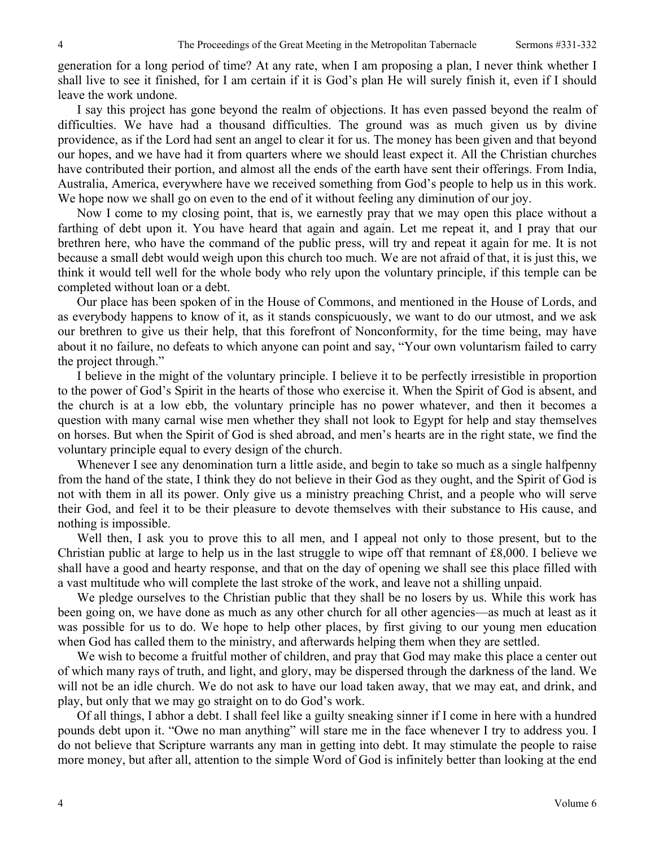generation for a long period of time? At any rate, when I am proposing a plan, I never think whether I shall live to see it finished, for I am certain if it is God's plan He will surely finish it, even if I should leave the work undone.

I say this project has gone beyond the realm of objections. It has even passed beyond the realm of difficulties. We have had a thousand difficulties. The ground was as much given us by divine providence, as if the Lord had sent an angel to clear it for us. The money has been given and that beyond our hopes, and we have had it from quarters where we should least expect it. All the Christian churches have contributed their portion, and almost all the ends of the earth have sent their offerings. From India, Australia, America, everywhere have we received something from God's people to help us in this work. We hope now we shall go on even to the end of it without feeling any diminution of our joy.

Now I come to my closing point, that is, we earnestly pray that we may open this place without a farthing of debt upon it. You have heard that again and again. Let me repeat it, and I pray that our brethren here, who have the command of the public press, will try and repeat it again for me. It is not because a small debt would weigh upon this church too much. We are not afraid of that, it is just this, we think it would tell well for the whole body who rely upon the voluntary principle, if this temple can be completed without loan or a debt.

Our place has been spoken of in the House of Commons, and mentioned in the House of Lords, and as everybody happens to know of it, as it stands conspicuously, we want to do our utmost, and we ask our brethren to give us their help, that this forefront of Nonconformity, for the time being, may have about it no failure, no defeats to which anyone can point and say, "Your own voluntarism failed to carry the project through."

I believe in the might of the voluntary principle. I believe it to be perfectly irresistible in proportion to the power of God's Spirit in the hearts of those who exercise it. When the Spirit of God is absent, and the church is at a low ebb, the voluntary principle has no power whatever, and then it becomes a question with many carnal wise men whether they shall not look to Egypt for help and stay themselves on horses. But when the Spirit of God is shed abroad, and men's hearts are in the right state, we find the voluntary principle equal to every design of the church.

Whenever I see any denomination turn a little aside, and begin to take so much as a single halfpenny from the hand of the state, I think they do not believe in their God as they ought, and the Spirit of God is not with them in all its power. Only give us a ministry preaching Christ, and a people who will serve their God, and feel it to be their pleasure to devote themselves with their substance to His cause, and nothing is impossible.

Well then, I ask you to prove this to all men, and I appeal not only to those present, but to the Christian public at large to help us in the last struggle to wipe off that remnant of £8,000. I believe we shall have a good and hearty response, and that on the day of opening we shall see this place filled with a vast multitude who will complete the last stroke of the work, and leave not a shilling unpaid.

We pledge ourselves to the Christian public that they shall be no losers by us. While this work has been going on, we have done as much as any other church for all other agencies—as much at least as it was possible for us to do. We hope to help other places, by first giving to our young men education when God has called them to the ministry, and afterwards helping them when they are settled.

We wish to become a fruitful mother of children, and pray that God may make this place a center out of which many rays of truth, and light, and glory, may be dispersed through the darkness of the land. We will not be an idle church. We do not ask to have our load taken away, that we may eat, and drink, and play, but only that we may go straight on to do God's work.

Of all things, I abhor a debt. I shall feel like a guilty sneaking sinner if I come in here with a hundred pounds debt upon it. "Owe no man anything" will stare me in the face whenever I try to address you. I do not believe that Scripture warrants any man in getting into debt. It may stimulate the people to raise more money, but after all, attention to the simple Word of God is infinitely better than looking at the end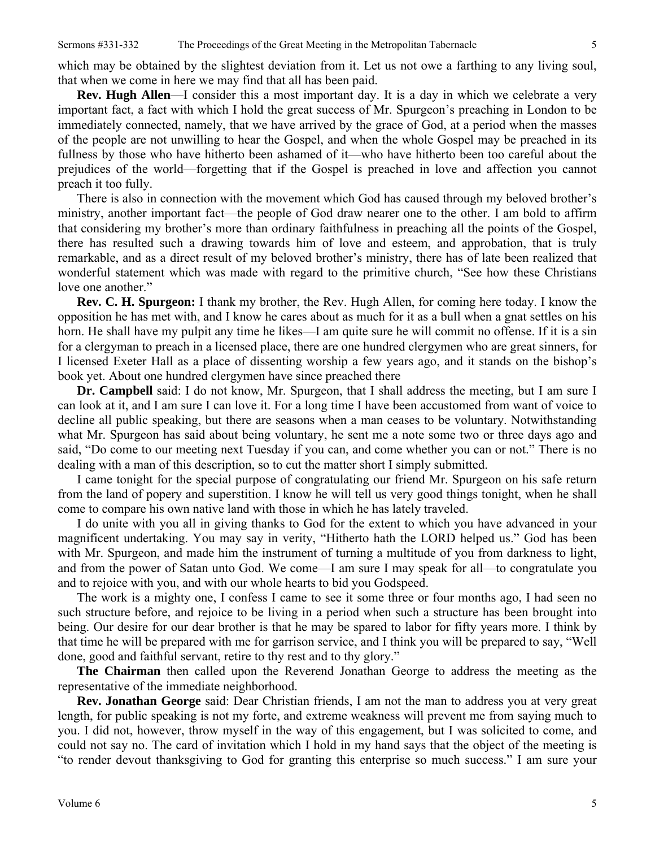which may be obtained by the slightest deviation from it. Let us not owe a farthing to any living soul, that when we come in here we may find that all has been paid.

**Rev. Hugh Allen**—I consider this a most important day. It is a day in which we celebrate a very important fact, a fact with which I hold the great success of Mr. Spurgeon's preaching in London to be immediately connected, namely, that we have arrived by the grace of God, at a period when the masses of the people are not unwilling to hear the Gospel, and when the whole Gospel may be preached in its fullness by those who have hitherto been ashamed of it—who have hitherto been too careful about the prejudices of the world—forgetting that if the Gospel is preached in love and affection you cannot preach it too fully.

There is also in connection with the movement which God has caused through my beloved brother's ministry, another important fact—the people of God draw nearer one to the other. I am bold to affirm that considering my brother's more than ordinary faithfulness in preaching all the points of the Gospel, there has resulted such a drawing towards him of love and esteem, and approbation, that is truly remarkable, and as a direct result of my beloved brother's ministry, there has of late been realized that wonderful statement which was made with regard to the primitive church, "See how these Christians love one another."

**Rev. C. H. Spurgeon:** I thank my brother, the Rev. Hugh Allen, for coming here today. I know the opposition he has met with, and I know he cares about as much for it as a bull when a gnat settles on his horn. He shall have my pulpit any time he likes—I am quite sure he will commit no offense. If it is a sin for a clergyman to preach in a licensed place, there are one hundred clergymen who are great sinners, for I licensed Exeter Hall as a place of dissenting worship a few years ago, and it stands on the bishop's book yet. About one hundred clergymen have since preached there

**Dr. Campbell** said: I do not know, Mr. Spurgeon, that I shall address the meeting, but I am sure I can look at it, and I am sure I can love it. For a long time I have been accustomed from want of voice to decline all public speaking, but there are seasons when a man ceases to be voluntary. Notwithstanding what Mr. Spurgeon has said about being voluntary, he sent me a note some two or three days ago and said, "Do come to our meeting next Tuesday if you can, and come whether you can or not." There is no dealing with a man of this description, so to cut the matter short I simply submitted.

I came tonight for the special purpose of congratulating our friend Mr. Spurgeon on his safe return from the land of popery and superstition. I know he will tell us very good things tonight, when he shall come to compare his own native land with those in which he has lately traveled.

I do unite with you all in giving thanks to God for the extent to which you have advanced in your magnificent undertaking. You may say in verity, "Hitherto hath the LORD helped us." God has been with Mr. Spurgeon, and made him the instrument of turning a multitude of you from darkness to light, and from the power of Satan unto God. We come—I am sure I may speak for all—to congratulate you and to rejoice with you, and with our whole hearts to bid you Godspeed.

The work is a mighty one, I confess I came to see it some three or four months ago, I had seen no such structure before, and rejoice to be living in a period when such a structure has been brought into being. Our desire for our dear brother is that he may be spared to labor for fifty years more. I think by that time he will be prepared with me for garrison service, and I think you will be prepared to say, "Well done, good and faithful servant, retire to thy rest and to thy glory."

**The Chairman** then called upon the Reverend Jonathan George to address the meeting as the representative of the immediate neighborhood.

**Rev. Jonathan George** said: Dear Christian friends, I am not the man to address you at very great length, for public speaking is not my forte, and extreme weakness will prevent me from saying much to you. I did not, however, throw myself in the way of this engagement, but I was solicited to come, and could not say no. The card of invitation which I hold in my hand says that the object of the meeting is "to render devout thanksgiving to God for granting this enterprise so much success." I am sure your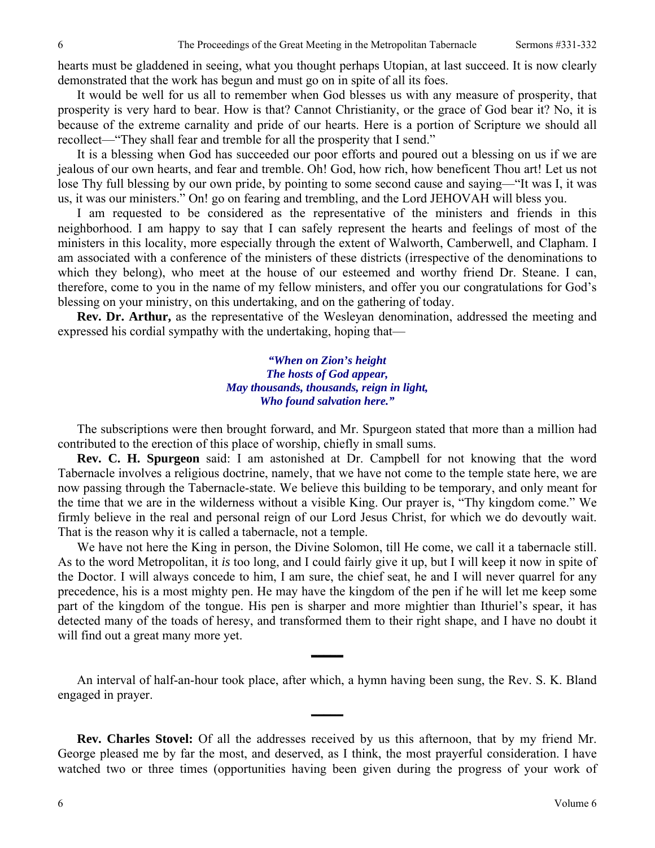hearts must be gladdened in seeing, what you thought perhaps Utopian, at last succeed. It is now clearly demonstrated that the work has begun and must go on in spite of all its foes.

It would be well for us all to remember when God blesses us with any measure of prosperity, that prosperity is very hard to bear. How is that? Cannot Christianity, or the grace of God bear it? No, it is because of the extreme carnality and pride of our hearts. Here is a portion of Scripture we should all recollect—"They shall fear and tremble for all the prosperity that I send."

It is a blessing when God has succeeded our poor efforts and poured out a blessing on us if we are jealous of our own hearts, and fear and tremble. Oh! God, how rich, how beneficent Thou art! Let us not lose Thy full blessing by our own pride, by pointing to some second cause and saying—"It was I, it was us, it was our ministers." On! go on fearing and trembling, and the Lord JEHOVAH will bless you.

I am requested to be considered as the representative of the ministers and friends in this neighborhood. I am happy to say that I can safely represent the hearts and feelings of most of the ministers in this locality, more especially through the extent of Walworth, Camberwell, and Clapham. I am associated with a conference of the ministers of these districts (irrespective of the denominations to which they belong), who meet at the house of our esteemed and worthy friend Dr. Steane. I can, therefore, come to you in the name of my fellow ministers, and offer you our congratulations for God's blessing on your ministry, on this undertaking, and on the gathering of today.

**Rev. Dr. Arthur,** as the representative of the Wesleyan denomination, addressed the meeting and expressed his cordial sympathy with the undertaking, hoping that—

### *"When on Zion's height The hosts of God appear, May thousands, thousands, reign in light, Who found salvation here."*

The subscriptions were then brought forward, and Mr. Spurgeon stated that more than a million had contributed to the erection of this place of worship, chiefly in small sums.

**Rev. C. H. Spurgeon** said: I am astonished at Dr. Campbell for not knowing that the word Tabernacle involves a religious doctrine, namely, that we have not come to the temple state here, we are now passing through the Tabernacle-state. We believe this building to be temporary, and only meant for the time that we are in the wilderness without a visible King. Our prayer is, "Thy kingdom come." We firmly believe in the real and personal reign of our Lord Jesus Christ, for which we do devoutly wait. That is the reason why it is called a tabernacle, not a temple.

We have not here the King in person, the Divine Solomon, till He come, we call it a tabernacle still. As to the word Metropolitan, it *is* too long, and I could fairly give it up, but I will keep it now in spite of the Doctor. I will always concede to him, I am sure, the chief seat, he and I will never quarrel for any precedence, his is a most mighty pen. He may have the kingdom of the pen if he will let me keep some part of the kingdom of the tongue. His pen is sharper and more mightier than Ithuriel's spear, it has detected many of the toads of heresy, and transformed them to their right shape, and I have no doubt it will find out a great many more yet.

An interval of half-an-hour took place, after which, a hymn having been sung, the Rev. S. K. Bland engaged in prayer.

**\_\_\_\_\_** 

**\_\_\_\_\_** 

**Rev. Charles Stovel:** Of all the addresses received by us this afternoon, that by my friend Mr. George pleased me by far the most, and deserved, as I think, the most prayerful consideration. I have watched two or three times (opportunities having been given during the progress of your work of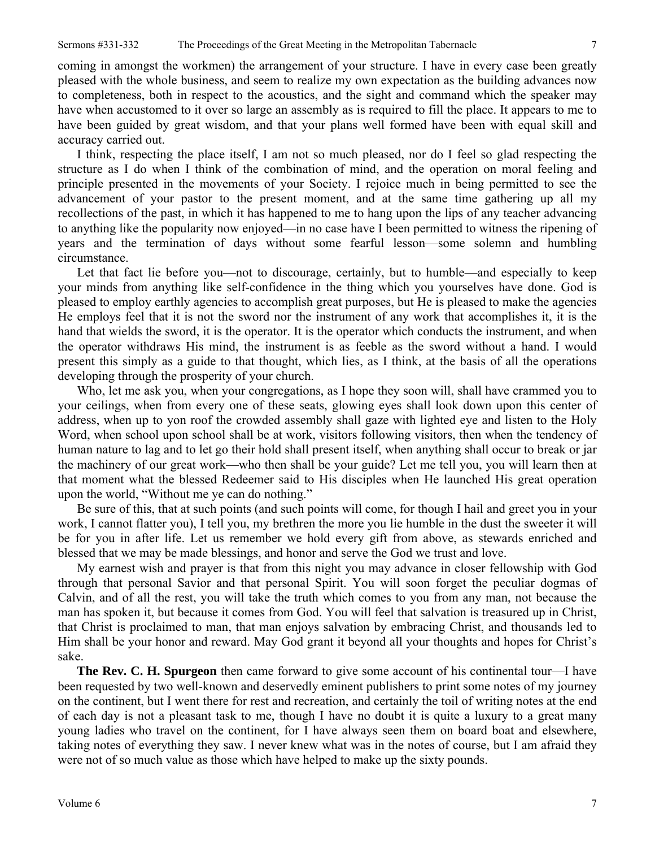coming in amongst the workmen) the arrangement of your structure. I have in every case been greatly pleased with the whole business, and seem to realize my own expectation as the building advances now to completeness, both in respect to the acoustics, and the sight and command which the speaker may have when accustomed to it over so large an assembly as is required to fill the place. It appears to me to have been guided by great wisdom, and that your plans well formed have been with equal skill and accuracy carried out.

I think, respecting the place itself, I am not so much pleased, nor do I feel so glad respecting the structure as I do when I think of the combination of mind, and the operation on moral feeling and principle presented in the movements of your Society. I rejoice much in being permitted to see the advancement of your pastor to the present moment, and at the same time gathering up all my recollections of the past, in which it has happened to me to hang upon the lips of any teacher advancing to anything like the popularity now enjoyed—in no case have I been permitted to witness the ripening of years and the termination of days without some fearful lesson—some solemn and humbling circumstance.

Let that fact lie before you—not to discourage, certainly, but to humble—and especially to keep your minds from anything like self-confidence in the thing which you yourselves have done. God is pleased to employ earthly agencies to accomplish great purposes, but He is pleased to make the agencies He employs feel that it is not the sword nor the instrument of any work that accomplishes it, it is the hand that wields the sword, it is the operator. It is the operator which conducts the instrument, and when the operator withdraws His mind, the instrument is as feeble as the sword without a hand. I would present this simply as a guide to that thought, which lies, as I think, at the basis of all the operations developing through the prosperity of your church.

Who, let me ask you, when your congregations, as I hope they soon will, shall have crammed you to your ceilings, when from every one of these seats, glowing eyes shall look down upon this center of address, when up to yon roof the crowded assembly shall gaze with lighted eye and listen to the Holy Word, when school upon school shall be at work, visitors following visitors, then when the tendency of human nature to lag and to let go their hold shall present itself, when anything shall occur to break or jar the machinery of our great work—who then shall be your guide? Let me tell you, you will learn then at that moment what the blessed Redeemer said to His disciples when He launched His great operation upon the world, "Without me ye can do nothing."

Be sure of this, that at such points (and such points will come, for though I hail and greet you in your work, I cannot flatter you), I tell you, my brethren the more you lie humble in the dust the sweeter it will be for you in after life. Let us remember we hold every gift from above, as stewards enriched and blessed that we may be made blessings, and honor and serve the God we trust and love.

My earnest wish and prayer is that from this night you may advance in closer fellowship with God through that personal Savior and that personal Spirit. You will soon forget the peculiar dogmas of Calvin, and of all the rest, you will take the truth which comes to you from any man, not because the man has spoken it, but because it comes from God. You will feel that salvation is treasured up in Christ, that Christ is proclaimed to man, that man enjoys salvation by embracing Christ, and thousands led to Him shall be your honor and reward. May God grant it beyond all your thoughts and hopes for Christ's sake.

**The Rev. C. H. Spurgeon** then came forward to give some account of his continental tour—I have been requested by two well-known and deservedly eminent publishers to print some notes of my journey on the continent, but I went there for rest and recreation, and certainly the toil of writing notes at the end of each day is not a pleasant task to me, though I have no doubt it is quite a luxury to a great many young ladies who travel on the continent, for I have always seen them on board boat and elsewhere, taking notes of everything they saw. I never knew what was in the notes of course, but I am afraid they were not of so much value as those which have helped to make up the sixty pounds.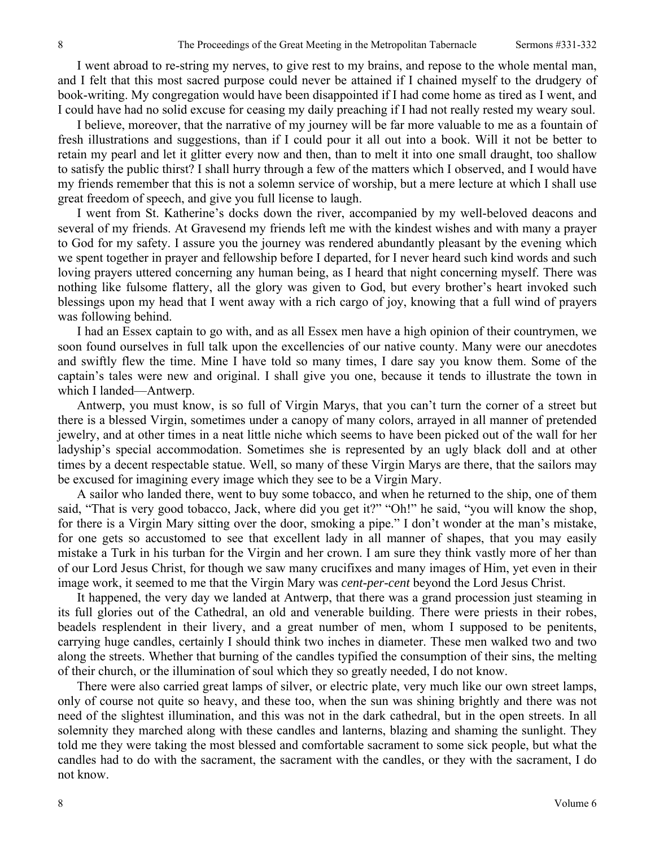I went abroad to re-string my nerves, to give rest to my brains, and repose to the whole mental man, and I felt that this most sacred purpose could never be attained if I chained myself to the drudgery of book-writing. My congregation would have been disappointed if I had come home as tired as I went, and I could have had no solid excuse for ceasing my daily preaching if I had not really rested my weary soul.

I believe, moreover, that the narrative of my journey will be far more valuable to me as a fountain of fresh illustrations and suggestions, than if I could pour it all out into a book. Will it not be better to retain my pearl and let it glitter every now and then, than to melt it into one small draught, too shallow to satisfy the public thirst? I shall hurry through a few of the matters which I observed, and I would have my friends remember that this is not a solemn service of worship, but a mere lecture at which I shall use great freedom of speech, and give you full license to laugh.

I went from St. Katherine's docks down the river, accompanied by my well-beloved deacons and several of my friends. At Gravesend my friends left me with the kindest wishes and with many a prayer to God for my safety. I assure you the journey was rendered abundantly pleasant by the evening which we spent together in prayer and fellowship before I departed, for I never heard such kind words and such loving prayers uttered concerning any human being, as I heard that night concerning myself. There was nothing like fulsome flattery, all the glory was given to God, but every brother's heart invoked such blessings upon my head that I went away with a rich cargo of joy, knowing that a full wind of prayers was following behind.

I had an Essex captain to go with, and as all Essex men have a high opinion of their countrymen, we soon found ourselves in full talk upon the excellencies of our native county. Many were our anecdotes and swiftly flew the time. Mine I have told so many times, I dare say you know them. Some of the captain's tales were new and original. I shall give you one, because it tends to illustrate the town in which I landed—Antwerp.

Antwerp, you must know, is so full of Virgin Marys, that you can't turn the corner of a street but there is a blessed Virgin, sometimes under a canopy of many colors, arrayed in all manner of pretended jewelry, and at other times in a neat little niche which seems to have been picked out of the wall for her ladyship's special accommodation. Sometimes she is represented by an ugly black doll and at other times by a decent respectable statue. Well, so many of these Virgin Marys are there, that the sailors may be excused for imagining every image which they see to be a Virgin Mary.

A sailor who landed there, went to buy some tobacco, and when he returned to the ship, one of them said, "That is very good tobacco, Jack, where did you get it?" "Oh!" he said, "you will know the shop, for there is a Virgin Mary sitting over the door, smoking a pipe." I don't wonder at the man's mistake, for one gets so accustomed to see that excellent lady in all manner of shapes, that you may easily mistake a Turk in his turban for the Virgin and her crown. I am sure they think vastly more of her than of our Lord Jesus Christ, for though we saw many crucifixes and many images of Him, yet even in their image work, it seemed to me that the Virgin Mary was *cent-per-cent* beyond the Lord Jesus Christ.

It happened, the very day we landed at Antwerp, that there was a grand procession just steaming in its full glories out of the Cathedral, an old and venerable building. There were priests in their robes, beadels resplendent in their livery, and a great number of men, whom I supposed to be penitents, carrying huge candles, certainly I should think two inches in diameter. These men walked two and two along the streets. Whether that burning of the candles typified the consumption of their sins, the melting of their church, or the illumination of soul which they so greatly needed, I do not know.

There were also carried great lamps of silver, or electric plate, very much like our own street lamps, only of course not quite so heavy, and these too, when the sun was shining brightly and there was not need of the slightest illumination, and this was not in the dark cathedral, but in the open streets. In all solemnity they marched along with these candles and lanterns, blazing and shaming the sunlight. They told me they were taking the most blessed and comfortable sacrament to some sick people, but what the candles had to do with the sacrament, the sacrament with the candles, or they with the sacrament, I do not know.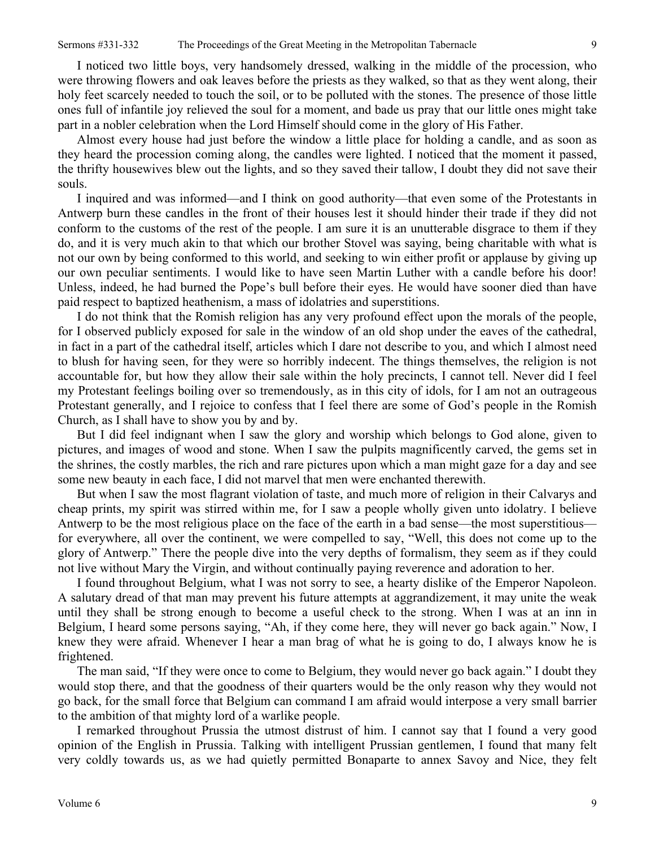I noticed two little boys, very handsomely dressed, walking in the middle of the procession, who were throwing flowers and oak leaves before the priests as they walked, so that as they went along, their holy feet scarcely needed to touch the soil, or to be polluted with the stones. The presence of those little ones full of infantile joy relieved the soul for a moment, and bade us pray that our little ones might take part in a nobler celebration when the Lord Himself should come in the glory of His Father.

Almost every house had just before the window a little place for holding a candle, and as soon as they heard the procession coming along, the candles were lighted. I noticed that the moment it passed, the thrifty housewives blew out the lights, and so they saved their tallow, I doubt they did not save their souls.

I inquired and was informed—and I think on good authority—that even some of the Protestants in Antwerp burn these candles in the front of their houses lest it should hinder their trade if they did not conform to the customs of the rest of the people. I am sure it is an unutterable disgrace to them if they do, and it is very much akin to that which our brother Stovel was saying, being charitable with what is not our own by being conformed to this world, and seeking to win either profit or applause by giving up our own peculiar sentiments. I would like to have seen Martin Luther with a candle before his door! Unless, indeed, he had burned the Pope's bull before their eyes. He would have sooner died than have paid respect to baptized heathenism, a mass of idolatries and superstitions.

I do not think that the Romish religion has any very profound effect upon the morals of the people, for I observed publicly exposed for sale in the window of an old shop under the eaves of the cathedral, in fact in a part of the cathedral itself, articles which I dare not describe to you, and which I almost need to blush for having seen, for they were so horribly indecent. The things themselves, the religion is not accountable for, but how they allow their sale within the holy precincts, I cannot tell. Never did I feel my Protestant feelings boiling over so tremendously, as in this city of idols, for I am not an outrageous Protestant generally, and I rejoice to confess that I feel there are some of God's people in the Romish Church, as I shall have to show you by and by.

But I did feel indignant when I saw the glory and worship which belongs to God alone, given to pictures, and images of wood and stone. When I saw the pulpits magnificently carved, the gems set in the shrines, the costly marbles, the rich and rare pictures upon which a man might gaze for a day and see some new beauty in each face, I did not marvel that men were enchanted therewith.

But when I saw the most flagrant violation of taste, and much more of religion in their Calvarys and cheap prints, my spirit was stirred within me, for I saw a people wholly given unto idolatry. I believe Antwerp to be the most religious place on the face of the earth in a bad sense—the most superstitious for everywhere, all over the continent, we were compelled to say, "Well, this does not come up to the glory of Antwerp." There the people dive into the very depths of formalism, they seem as if they could not live without Mary the Virgin, and without continually paying reverence and adoration to her.

I found throughout Belgium, what I was not sorry to see, a hearty dislike of the Emperor Napoleon. A salutary dread of that man may prevent his future attempts at aggrandizement, it may unite the weak until they shall be strong enough to become a useful check to the strong. When I was at an inn in Belgium, I heard some persons saying, "Ah, if they come here, they will never go back again." Now, I knew they were afraid. Whenever I hear a man brag of what he is going to do, I always know he is frightened.

The man said, "If they were once to come to Belgium, they would never go back again." I doubt they would stop there, and that the goodness of their quarters would be the only reason why they would not go back, for the small force that Belgium can command I am afraid would interpose a very small barrier to the ambition of that mighty lord of a warlike people.

I remarked throughout Prussia the utmost distrust of him. I cannot say that I found a very good opinion of the English in Prussia. Talking with intelligent Prussian gentlemen, I found that many felt very coldly towards us, as we had quietly permitted Bonaparte to annex Savoy and Nice, they felt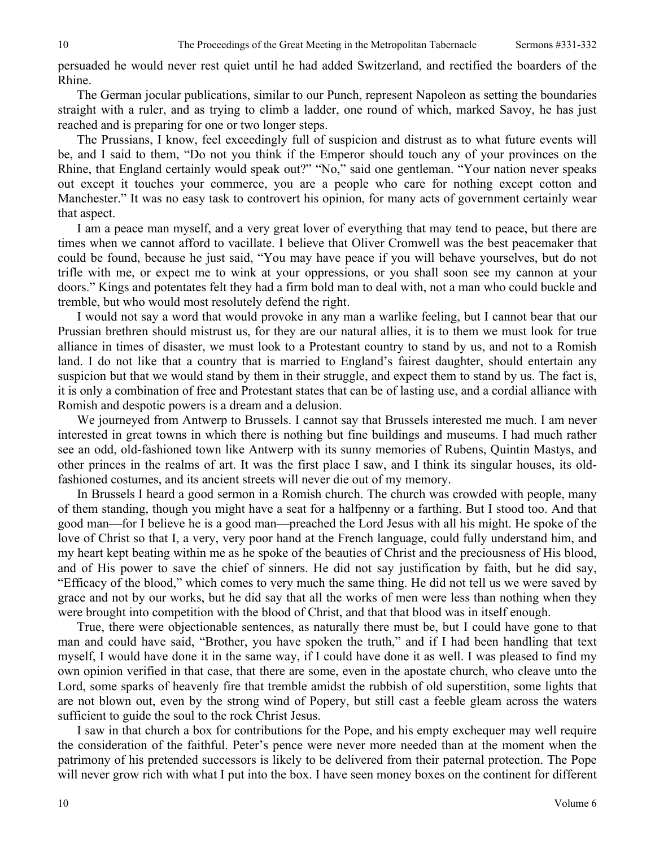persuaded he would never rest quiet until he had added Switzerland, and rectified the boarders of the Rhine.

The German jocular publications, similar to our Punch, represent Napoleon as setting the boundaries straight with a ruler, and as trying to climb a ladder, one round of which, marked Savoy, he has just reached and is preparing for one or two longer steps.

The Prussians, I know, feel exceedingly full of suspicion and distrust as to what future events will be, and I said to them, "Do not you think if the Emperor should touch any of your provinces on the Rhine, that England certainly would speak out?" "No," said one gentleman. "Your nation never speaks out except it touches your commerce, you are a people who care for nothing except cotton and Manchester." It was no easy task to controvert his opinion, for many acts of government certainly wear that aspect.

I am a peace man myself, and a very great lover of everything that may tend to peace, but there are times when we cannot afford to vacillate. I believe that Oliver Cromwell was the best peacemaker that could be found, because he just said, "You may have peace if you will behave yourselves, but do not trifle with me, or expect me to wink at your oppressions, or you shall soon see my cannon at your doors." Kings and potentates felt they had a firm bold man to deal with, not a man who could buckle and tremble, but who would most resolutely defend the right.

I would not say a word that would provoke in any man a warlike feeling, but I cannot bear that our Prussian brethren should mistrust us, for they are our natural allies, it is to them we must look for true alliance in times of disaster, we must look to a Protestant country to stand by us, and not to a Romish land. I do not like that a country that is married to England's fairest daughter, should entertain any suspicion but that we would stand by them in their struggle, and expect them to stand by us. The fact is, it is only a combination of free and Protestant states that can be of lasting use, and a cordial alliance with Romish and despotic powers is a dream and a delusion.

We journeyed from Antwerp to Brussels. I cannot say that Brussels interested me much. I am never interested in great towns in which there is nothing but fine buildings and museums. I had much rather see an odd, old-fashioned town like Antwerp with its sunny memories of Rubens, Quintin Mastys, and other princes in the realms of art. It was the first place I saw, and I think its singular houses, its oldfashioned costumes, and its ancient streets will never die out of my memory.

In Brussels I heard a good sermon in a Romish church. The church was crowded with people, many of them standing, though you might have a seat for a halfpenny or a farthing. But I stood too. And that good man—for I believe he is a good man—preached the Lord Jesus with all his might. He spoke of the love of Christ so that I, a very, very poor hand at the French language, could fully understand him, and my heart kept beating within me as he spoke of the beauties of Christ and the preciousness of His blood, and of His power to save the chief of sinners. He did not say justification by faith, but he did say, "Efficacy of the blood," which comes to very much the same thing. He did not tell us we were saved by grace and not by our works, but he did say that all the works of men were less than nothing when they were brought into competition with the blood of Christ, and that that blood was in itself enough.

True, there were objectionable sentences, as naturally there must be, but I could have gone to that man and could have said, "Brother, you have spoken the truth," and if I had been handling that text myself, I would have done it in the same way, if I could have done it as well. I was pleased to find my own opinion verified in that case, that there are some, even in the apostate church, who cleave unto the Lord, some sparks of heavenly fire that tremble amidst the rubbish of old superstition, some lights that are not blown out, even by the strong wind of Popery, but still cast a feeble gleam across the waters sufficient to guide the soul to the rock Christ Jesus.

I saw in that church a box for contributions for the Pope, and his empty exchequer may well require the consideration of the faithful. Peter's pence were never more needed than at the moment when the patrimony of his pretended successors is likely to be delivered from their paternal protection. The Pope will never grow rich with what I put into the box. I have seen money boxes on the continent for different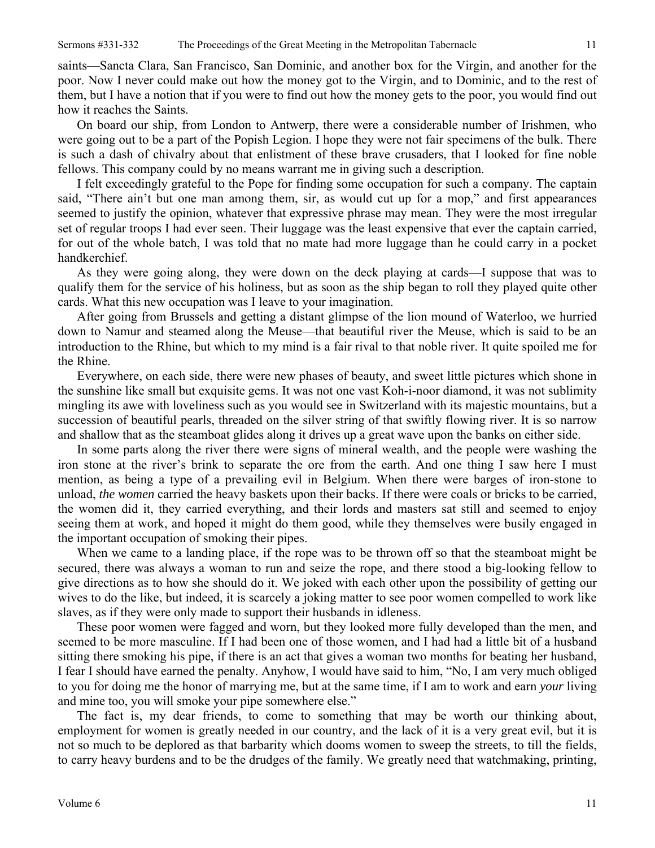saints—Sancta Clara, San Francisco, San Dominic, and another box for the Virgin, and another for the poor. Now I never could make out how the money got to the Virgin, and to Dominic, and to the rest of them, but I have a notion that if you were to find out how the money gets to the poor, you would find out how it reaches the Saints.

On board our ship, from London to Antwerp, there were a considerable number of Irishmen, who were going out to be a part of the Popish Legion. I hope they were not fair specimens of the bulk. There is such a dash of chivalry about that enlistment of these brave crusaders, that I looked for fine noble fellows. This company could by no means warrant me in giving such a description.

I felt exceedingly grateful to the Pope for finding some occupation for such a company. The captain said, "There ain't but one man among them, sir, as would cut up for a mop," and first appearances seemed to justify the opinion, whatever that expressive phrase may mean. They were the most irregular set of regular troops I had ever seen. Their luggage was the least expensive that ever the captain carried, for out of the whole batch, I was told that no mate had more luggage than he could carry in a pocket handkerchief.

As they were going along, they were down on the deck playing at cards—I suppose that was to qualify them for the service of his holiness, but as soon as the ship began to roll they played quite other cards. What this new occupation was I leave to your imagination.

After going from Brussels and getting a distant glimpse of the lion mound of Waterloo, we hurried down to Namur and steamed along the Meuse—that beautiful river the Meuse, which is said to be an introduction to the Rhine, but which to my mind is a fair rival to that noble river. It quite spoiled me for the Rhine.

Everywhere, on each side, there were new phases of beauty, and sweet little pictures which shone in the sunshine like small but exquisite gems. It was not one vast Koh-i-noor diamond, it was not sublimity mingling its awe with loveliness such as you would see in Switzerland with its majestic mountains, but a succession of beautiful pearls, threaded on the silver string of that swiftly flowing river. It is so narrow and shallow that as the steamboat glides along it drives up a great wave upon the banks on either side.

In some parts along the river there were signs of mineral wealth, and the people were washing the iron stone at the river's brink to separate the ore from the earth. And one thing I saw here I must mention, as being a type of a prevailing evil in Belgium. When there were barges of iron-stone to unload, *the women* carried the heavy baskets upon their backs. If there were coals or bricks to be carried, the women did it, they carried everything, and their lords and masters sat still and seemed to enjoy seeing them at work, and hoped it might do them good, while they themselves were busily engaged in the important occupation of smoking their pipes.

When we came to a landing place, if the rope was to be thrown off so that the steamboat might be secured, there was always a woman to run and seize the rope, and there stood a big-looking fellow to give directions as to how she should do it. We joked with each other upon the possibility of getting our wives to do the like, but indeed, it is scarcely a joking matter to see poor women compelled to work like slaves, as if they were only made to support their husbands in idleness.

These poor women were fagged and worn, but they looked more fully developed than the men, and seemed to be more masculine. If I had been one of those women, and I had had a little bit of a husband sitting there smoking his pipe, if there is an act that gives a woman two months for beating her husband, I fear I should have earned the penalty. Anyhow, I would have said to him, "No, I am very much obliged to you for doing me the honor of marrying me, but at the same time, if I am to work and earn *your* living and mine too, you will smoke your pipe somewhere else."

The fact is, my dear friends, to come to something that may be worth our thinking about, employment for women is greatly needed in our country, and the lack of it is a very great evil, but it is not so much to be deplored as that barbarity which dooms women to sweep the streets, to till the fields, to carry heavy burdens and to be the drudges of the family. We greatly need that watchmaking, printing,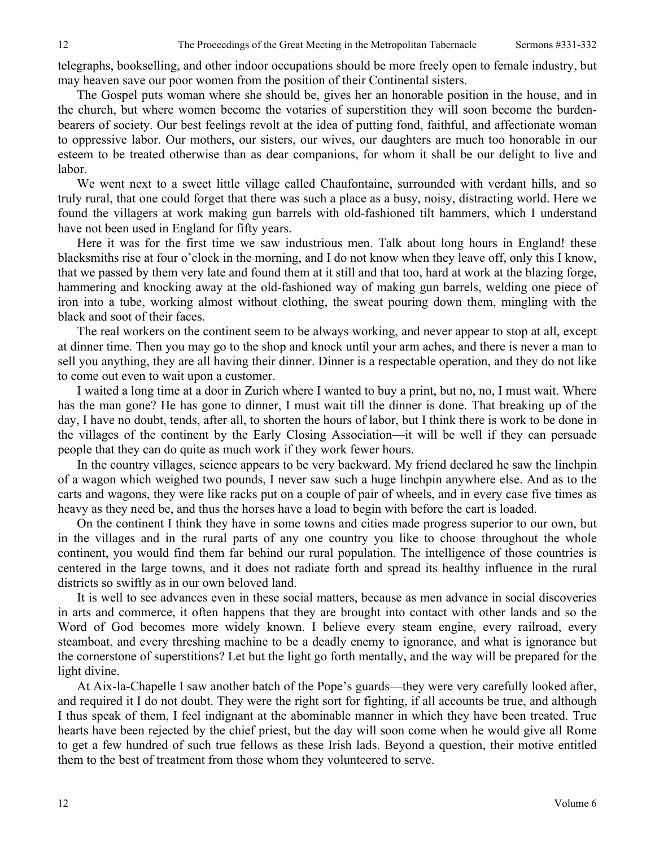telegraphs, bookselling, and other indoor occupations should be more freely open to female industry, but may heaven save our poor women from the position of their Continental sisters.

The Gospel puts woman where she should be, gives her an honorable position in the house, and in the church, but where women become the votaries of superstition they will soon become the burdenbearers of society. Our best feelings revolt at the idea of putting fond, faithful, and affectionate woman to oppressive labor. Our mothers, our sisters, our wives, our daughters are much too honorable in our esteem to be treated otherwise than as dear companions, for whom it shall be our delight to live and labor.

We went next to a sweet little village called Chaufontaine, surrounded with verdant hills, and so truly rural, that one could forget that there was such a place as a busy, noisy, distracting world. Here we found the villagers at work making gun barrels with old-fashioned tilt hammers, which I understand have not been used in England for fifty years.

Here it was for the first time we saw industrious men. Talk about long hours in England! these blacksmiths rise at four o'clock in the morning, and I do not know when they leave off, only this I know, that we passed by them very late and found them at it still and that too, hard at work at the blazing forge, hammering and knocking away at the old-fashioned way of making gun barrels, welding one piece of iron into a tube, working almost without clothing, the sweat pouring down them, mingling with the black and soot of their faces.

The real workers on the continent seem to be always working, and never appear to stop at all, except at dinner time. Then you may go to the shop and knock until your arm aches, and there is never a man to sell you anything, they are all having their dinner. Dinner is a respectable operation, and they do not like to come out even to wait upon a customer.

I waited a long time at a door in Zurich where I wanted to buy a print, but no, no, I must wait. Where has the man gone? He has gone to dinner, I must wait till the dinner is done. That breaking up of the day, I have no doubt, tends, after all, to shorten the hours of labor, but I think there is work to be done in the villages of the continent by the Early Closing Association—it will be well if they can persuade people that they can do quite as much work if they work fewer hours.

In the country villages, science appears to be very backward. My friend declared he saw the linchpin of a wagon which weighed two pounds, I never saw such a huge linchpin anywhere else. And as to the carts and wagons, they were like racks put on a couple of pair of wheels, and in every case five times as heavy as they need be, and thus the horses have a load to begin with before the cart is loaded.

On the continent I think they have in some towns and cities made progress superior to our own, but in the villages and in the rural parts of any one country you like to choose throughout the whole continent, you would find them far behind our rural population. The intelligence of those countries is centered in the large towns, and it does not radiate forth and spread its healthy influence in the rural districts so swiftly as in our own beloved land.

It is well to see advances even in these social matters, because as men advance in social discoveries in arts and commerce, it often happens that they are brought into contact with other lands and so the Word of God becomes more widely known. I believe every steam engine, every railroad, every steamboat, and every threshing machine to be a deadly enemy to ignorance, and what is ignorance but the cornerstone of superstitions? Let but the light go forth mentally, and the way will be prepared for the light divine.

At Aix-la-Chapelle I saw another batch of the Pope's guards—they were very carefully looked after, and required it I do not doubt. They were the right sort for fighting, if all accounts be true, and although I thus speak of them, I feel indignant at the abominable manner in which they have been treated. True hearts have been rejected by the chief priest, but the day will soon come when he would give all Rome to get a few hundred of such true fellows as these Irish lads. Beyond a question, their motive entitled them to the best of treatment from those whom they volunteered to serve.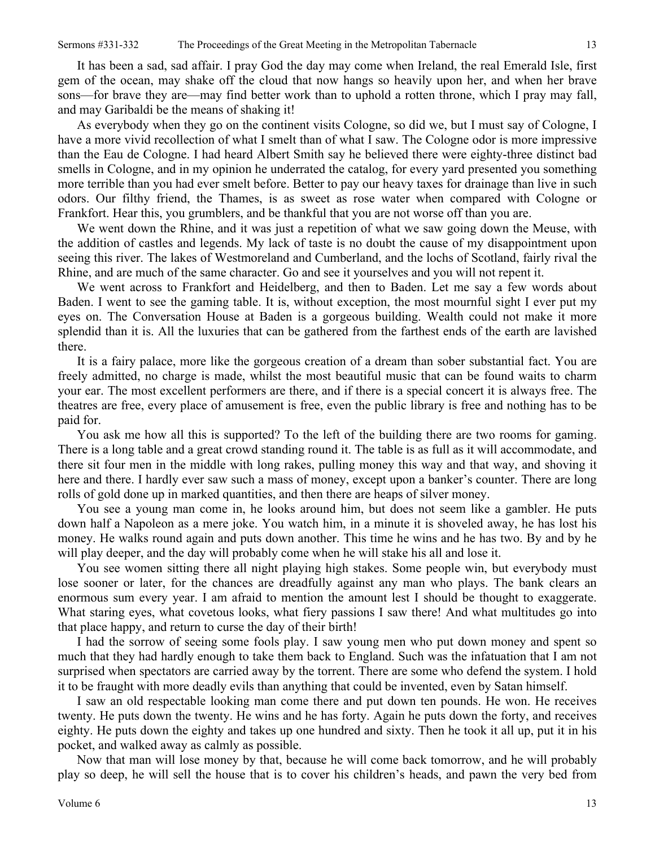It has been a sad, sad affair. I pray God the day may come when Ireland, the real Emerald Isle, first gem of the ocean, may shake off the cloud that now hangs so heavily upon her, and when her brave sons—for brave they are—may find better work than to uphold a rotten throne, which I pray may fall, and may Garibaldi be the means of shaking it!

As everybody when they go on the continent visits Cologne, so did we, but I must say of Cologne, I have a more vivid recollection of what I smelt than of what I saw. The Cologne odor is more impressive than the Eau de Cologne. I had heard Albert Smith say he believed there were eighty-three distinct bad smells in Cologne, and in my opinion he underrated the catalog, for every yard presented you something more terrible than you had ever smelt before. Better to pay our heavy taxes for drainage than live in such odors. Our filthy friend, the Thames, is as sweet as rose water when compared with Cologne or Frankfort. Hear this, you grumblers, and be thankful that you are not worse off than you are.

We went down the Rhine, and it was just a repetition of what we saw going down the Meuse, with the addition of castles and legends. My lack of taste is no doubt the cause of my disappointment upon seeing this river. The lakes of Westmoreland and Cumberland, and the lochs of Scotland, fairly rival the Rhine, and are much of the same character. Go and see it yourselves and you will not repent it.

We went across to Frankfort and Heidelberg, and then to Baden. Let me say a few words about Baden. I went to see the gaming table. It is, without exception, the most mournful sight I ever put my eyes on. The Conversation House at Baden is a gorgeous building. Wealth could not make it more splendid than it is. All the luxuries that can be gathered from the farthest ends of the earth are lavished there.

It is a fairy palace, more like the gorgeous creation of a dream than sober substantial fact. You are freely admitted, no charge is made, whilst the most beautiful music that can be found waits to charm your ear. The most excellent performers are there, and if there is a special concert it is always free. The theatres are free, every place of amusement is free, even the public library is free and nothing has to be paid for.

You ask me how all this is supported? To the left of the building there are two rooms for gaming. There is a long table and a great crowd standing round it. The table is as full as it will accommodate, and there sit four men in the middle with long rakes, pulling money this way and that way, and shoving it here and there. I hardly ever saw such a mass of money, except upon a banker's counter. There are long rolls of gold done up in marked quantities, and then there are heaps of silver money.

You see a young man come in, he looks around him, but does not seem like a gambler. He puts down half a Napoleon as a mere joke. You watch him, in a minute it is shoveled away, he has lost his money. He walks round again and puts down another. This time he wins and he has two. By and by he will play deeper, and the day will probably come when he will stake his all and lose it.

You see women sitting there all night playing high stakes. Some people win, but everybody must lose sooner or later, for the chances are dreadfully against any man who plays. The bank clears an enormous sum every year. I am afraid to mention the amount lest I should be thought to exaggerate. What staring eyes, what covetous looks, what fiery passions I saw there! And what multitudes go into that place happy, and return to curse the day of their birth!

I had the sorrow of seeing some fools play. I saw young men who put down money and spent so much that they had hardly enough to take them back to England. Such was the infatuation that I am not surprised when spectators are carried away by the torrent. There are some who defend the system. I hold it to be fraught with more deadly evils than anything that could be invented, even by Satan himself.

I saw an old respectable looking man come there and put down ten pounds. He won. He receives twenty. He puts down the twenty. He wins and he has forty. Again he puts down the forty, and receives eighty. He puts down the eighty and takes up one hundred and sixty. Then he took it all up, put it in his pocket, and walked away as calmly as possible.

Now that man will lose money by that, because he will come back tomorrow, and he will probably play so deep, he will sell the house that is to cover his children's heads, and pawn the very bed from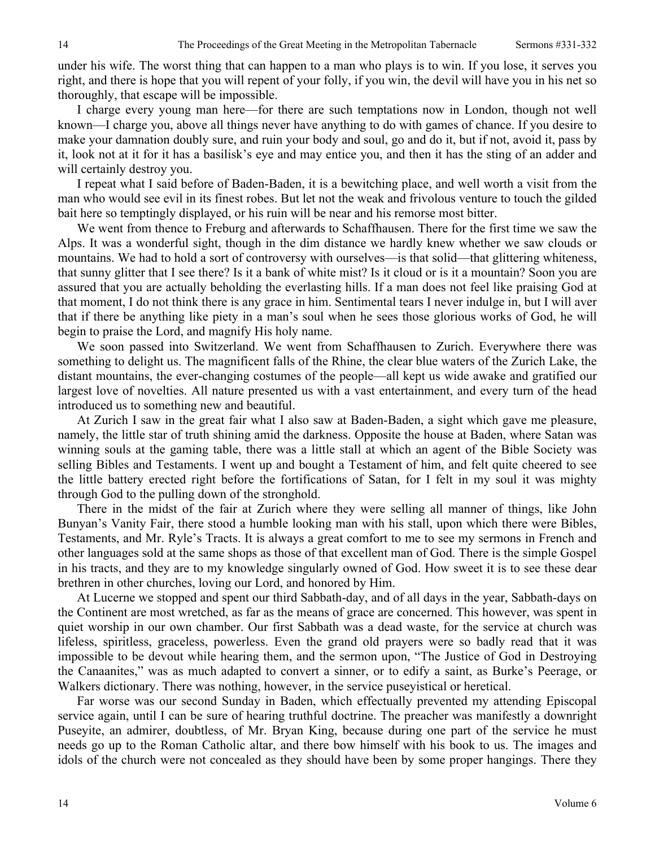under his wife. The worst thing that can happen to a man who plays is to win. If you lose, it serves you right, and there is hope that you will repent of your folly, if you win, the devil will have you in his net so thoroughly, that escape will be impossible.

I charge every young man here—for there are such temptations now in London, though not well known—I charge you, above all things never have anything to do with games of chance. If you desire to make your damnation doubly sure, and ruin your body and soul, go and do it, but if not, avoid it, pass by it, look not at it for it has a basilisk's eye and may entice you, and then it has the sting of an adder and will certainly destroy you.

I repeat what I said before of Baden-Baden, it is a bewitching place, and well worth a visit from the man who would see evil in its finest robes. But let not the weak and frivolous venture to touch the gilded bait here so temptingly displayed, or his ruin will be near and his remorse most bitter.

We went from thence to Freburg and afterwards to Schaffhausen. There for the first time we saw the Alps. It was a wonderful sight, though in the dim distance we hardly knew whether we saw clouds or mountains. We had to hold a sort of controversy with ourselves—is that solid—that glittering whiteness, that sunny glitter that I see there? Is it a bank of white mist? Is it cloud or is it a mountain? Soon you are assured that you are actually beholding the everlasting hills. If a man does not feel like praising God at that moment, I do not think there is any grace in him. Sentimental tears I never indulge in, but I will aver that if there be anything like piety in a man's soul when he sees those glorious works of God, he will begin to praise the Lord, and magnify His holy name.

We soon passed into Switzerland. We went from Schaffhausen to Zurich. Everywhere there was something to delight us. The magnificent falls of the Rhine, the clear blue waters of the Zurich Lake, the distant mountains, the ever-changing costumes of the people—all kept us wide awake and gratified our largest love of novelties. All nature presented us with a vast entertainment, and every turn of the head introduced us to something new and beautiful.

At Zurich I saw in the great fair what I also saw at Baden-Baden, a sight which gave me pleasure, namely, the little star of truth shining amid the darkness. Opposite the house at Baden, where Satan was winning souls at the gaming table, there was a little stall at which an agent of the Bible Society was selling Bibles and Testaments. I went up and bought a Testament of him, and felt quite cheered to see the little battery erected right before the fortifications of Satan, for I felt in my soul it was mighty through God to the pulling down of the stronghold.

There in the midst of the fair at Zurich where they were selling all manner of things, like John Bunyan's Vanity Fair, there stood a humble looking man with his stall, upon which there were Bibles, Testaments, and Mr. Ryle's Tracts. It is always a great comfort to me to see my sermons in French and other languages sold at the same shops as those of that excellent man of God. There is the simple Gospel in his tracts, and they are to my knowledge singularly owned of God. How sweet it is to see these dear brethren in other churches, loving our Lord, and honored by Him.

At Lucerne we stopped and spent our third Sabbath-day, and of all days in the year, Sabbath-days on the Continent are most wretched, as far as the means of grace are concerned. This however, was spent in quiet worship in our own chamber. Our first Sabbath was a dead waste, for the service at church was lifeless, spiritless, graceless, powerless. Even the grand old prayers were so badly read that it was impossible to be devout while hearing them, and the sermon upon, "The Justice of God in Destroying the Canaanites," was as much adapted to convert a sinner, or to edify a saint, as Burke's Peerage, or Walkers dictionary. There was nothing, however, in the service puseyistical or heretical.

Far worse was our second Sunday in Baden, which effectually prevented my attending Episcopal service again, until I can be sure of hearing truthful doctrine. The preacher was manifestly a downright Puseyite, an admirer, doubtless, of Mr. Bryan King, because during one part of the service he must needs go up to the Roman Catholic altar, and there bow himself with his book to us. The images and idols of the church were not concealed as they should have been by some proper hangings. There they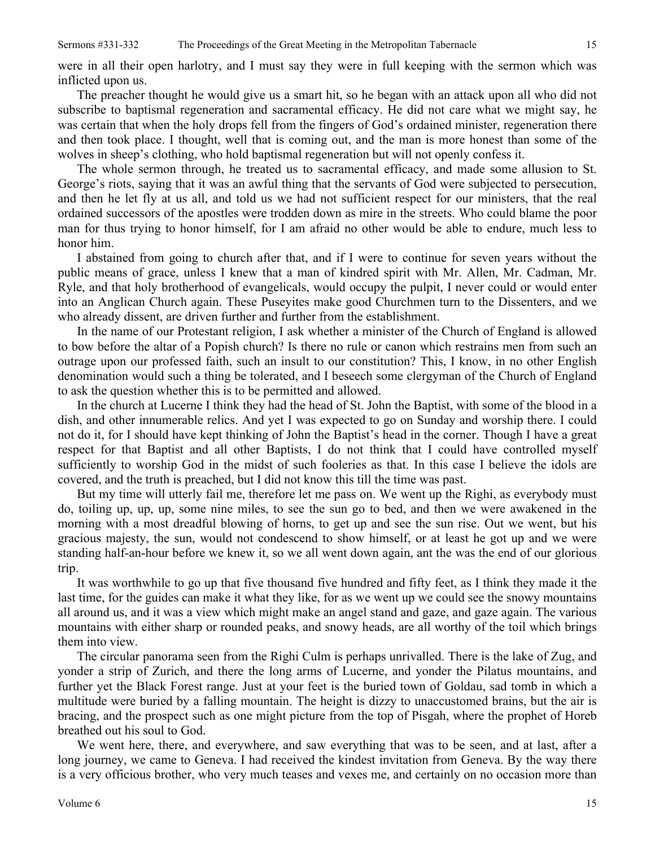were in all their open harlotry, and I must say they were in full keeping with the sermon which was inflicted upon us.

The preacher thought he would give us a smart hit, so he began with an attack upon all who did not subscribe to baptismal regeneration and sacramental efficacy. He did not care what we might say, he was certain that when the holy drops fell from the fingers of God's ordained minister, regeneration there and then took place. I thought, well that is coming out, and the man is more honest than some of the wolves in sheep's clothing, who hold baptismal regeneration but will not openly confess it.

The whole sermon through, he treated us to sacramental efficacy, and made some allusion to St. George's riots, saying that it was an awful thing that the servants of God were subjected to persecution, and then he let fly at us all, and told us we had not sufficient respect for our ministers, that the real ordained successors of the apostles were trodden down as mire in the streets. Who could blame the poor man for thus trying to honor himself, for I am afraid no other would be able to endure, much less to honor him.

I abstained from going to church after that, and if I were to continue for seven years without the public means of grace, unless I knew that a man of kindred spirit with Mr. Allen, Mr. Cadman, Mr. Ryle, and that holy brotherhood of evangelicals, would occupy the pulpit, I never could or would enter into an Anglican Church again. These Puseyites make good Churchmen turn to the Dissenters, and we who already dissent, are driven further and further from the establishment.

In the name of our Protestant religion, I ask whether a minister of the Church of England is allowed to bow before the altar of a Popish church? Is there no rule or canon which restrains men from such an outrage upon our professed faith, such an insult to our constitution? This, I know, in no other English denomination would such a thing be tolerated, and I beseech some clergyman of the Church of England to ask the question whether this is to be permitted and allowed.

In the church at Lucerne I think they had the head of St. John the Baptist, with some of the blood in a dish, and other innumerable relics. And yet I was expected to go on Sunday and worship there. I could not do it, for I should have kept thinking of John the Baptist's head in the corner. Though I have a great respect for that Baptist and all other Baptists, I do not think that I could have controlled myself sufficiently to worship God in the midst of such fooleries as that. In this case I believe the idols are covered, and the truth is preached, but I did not know this till the time was past.

But my time will utterly fail me, therefore let me pass on. We went up the Righi, as everybody must do, toiling up, up, up, some nine miles, to see the sun go to bed, and then we were awakened in the morning with a most dreadful blowing of horns, to get up and see the sun rise. Out we went, but his gracious majesty, the sun, would not condescend to show himself, or at least he got up and we were standing half-an-hour before we knew it, so we all went down again, ant the was the end of our glorious trip.

It was worthwhile to go up that five thousand five hundred and fifty feet, as I think they made it the last time, for the guides can make it what they like, for as we went up we could see the snowy mountains all around us, and it was a view which might make an angel stand and gaze, and gaze again. The various mountains with either sharp or rounded peaks, and snowy heads, are all worthy of the toil which brings them into view.

The circular panorama seen from the Righi Culm is perhaps unrivalled. There is the lake of Zug, and yonder a strip of Zurich, and there the long arms of Lucerne, and yonder the Pilatus mountains, and further yet the Black Forest range. Just at your feet is the buried town of Goldau, sad tomb in which a multitude were buried by a falling mountain. The height is dizzy to unaccustomed brains, but the air is bracing, and the prospect such as one might picture from the top of Pisgah, where the prophet of Horeb breathed out his soul to God.

We went here, there, and everywhere, and saw everything that was to be seen, and at last, after a long journey, we came to Geneva. I had received the kindest invitation from Geneva. By the way there is a very officious brother, who very much teases and vexes me, and certainly on no occasion more than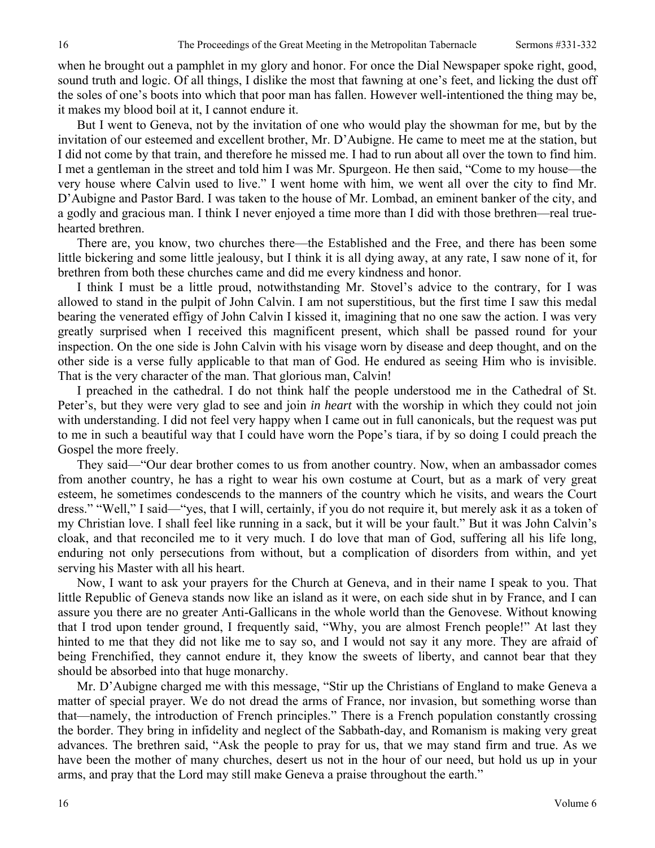when he brought out a pamphlet in my glory and honor. For once the Dial Newspaper spoke right, good, sound truth and logic. Of all things, I dislike the most that fawning at one's feet, and licking the dust off the soles of one's boots into which that poor man has fallen. However well-intentioned the thing may be, it makes my blood boil at it, I cannot endure it.

But I went to Geneva, not by the invitation of one who would play the showman for me, but by the invitation of our esteemed and excellent brother, Mr. D'Aubigne. He came to meet me at the station, but I did not come by that train, and therefore he missed me. I had to run about all over the town to find him. I met a gentleman in the street and told him I was Mr. Spurgeon. He then said, "Come to my house—the very house where Calvin used to live." I went home with him, we went all over the city to find Mr. D'Aubigne and Pastor Bard. I was taken to the house of Mr. Lombad, an eminent banker of the city, and a godly and gracious man. I think I never enjoyed a time more than I did with those brethren—real truehearted brethren.

There are, you know, two churches there—the Established and the Free, and there has been some little bickering and some little jealousy, but I think it is all dying away, at any rate, I saw none of it, for brethren from both these churches came and did me every kindness and honor.

I think I must be a little proud, notwithstanding Mr. Stovel's advice to the contrary, for I was allowed to stand in the pulpit of John Calvin. I am not superstitious, but the first time I saw this medal bearing the venerated effigy of John Calvin I kissed it, imagining that no one saw the action. I was very greatly surprised when I received this magnificent present, which shall be passed round for your inspection. On the one side is John Calvin with his visage worn by disease and deep thought, and on the other side is a verse fully applicable to that man of God. He endured as seeing Him who is invisible. That is the very character of the man. That glorious man, Calvin!

I preached in the cathedral. I do not think half the people understood me in the Cathedral of St. Peter's, but they were very glad to see and join *in heart* with the worship in which they could not join with understanding. I did not feel very happy when I came out in full canonicals, but the request was put to me in such a beautiful way that I could have worn the Pope's tiara, if by so doing I could preach the Gospel the more freely.

They said—"Our dear brother comes to us from another country. Now, when an ambassador comes from another country, he has a right to wear his own costume at Court, but as a mark of very great esteem, he sometimes condescends to the manners of the country which he visits, and wears the Court dress." "Well," I said—"yes, that I will, certainly, if you do not require it, but merely ask it as a token of my Christian love. I shall feel like running in a sack, but it will be your fault." But it was John Calvin's cloak, and that reconciled me to it very much. I do love that man of God, suffering all his life long, enduring not only persecutions from without, but a complication of disorders from within, and yet serving his Master with all his heart.

Now, I want to ask your prayers for the Church at Geneva, and in their name I speak to you. That little Republic of Geneva stands now like an island as it were, on each side shut in by France, and I can assure you there are no greater Anti-Gallicans in the whole world than the Genovese. Without knowing that I trod upon tender ground, I frequently said, "Why, you are almost French people!" At last they hinted to me that they did not like me to say so, and I would not say it any more. They are afraid of being Frenchified, they cannot endure it, they know the sweets of liberty, and cannot bear that they should be absorbed into that huge monarchy.

Mr. D'Aubigne charged me with this message, "Stir up the Christians of England to make Geneva a matter of special prayer. We do not dread the arms of France, nor invasion, but something worse than that—namely, the introduction of French principles." There is a French population constantly crossing the border. They bring in infidelity and neglect of the Sabbath-day, and Romanism is making very great advances. The brethren said, "Ask the people to pray for us, that we may stand firm and true. As we have been the mother of many churches, desert us not in the hour of our need, but hold us up in your arms, and pray that the Lord may still make Geneva a praise throughout the earth."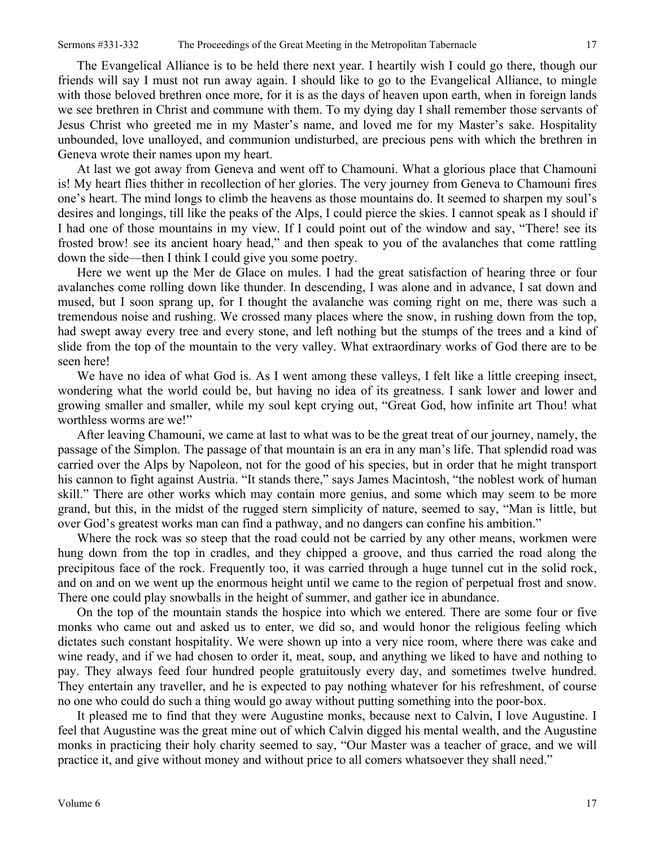The Evangelical Alliance is to be held there next year. I heartily wish I could go there, though our friends will say I must not run away again. I should like to go to the Evangelical Alliance, to mingle with those beloved brethren once more, for it is as the days of heaven upon earth, when in foreign lands we see brethren in Christ and commune with them. To my dying day I shall remember those servants of Jesus Christ who greeted me in my Master's name, and loved me for my Master's sake. Hospitality unbounded, love unalloyed, and communion undisturbed, are precious pens with which the brethren in Geneva wrote their names upon my heart.

At last we got away from Geneva and went off to Chamouni. What a glorious place that Chamouni is! My heart flies thither in recollection of her glories. The very journey from Geneva to Chamouni fires one's heart. The mind longs to climb the heavens as those mountains do. It seemed to sharpen my soul's desires and longings, till like the peaks of the Alps, I could pierce the skies. I cannot speak as I should if I had one of those mountains in my view. If I could point out of the window and say, "There! see its frosted brow! see its ancient hoary head," and then speak to you of the avalanches that come rattling down the side—then I think I could give you some poetry.

Here we went up the Mer de Glace on mules. I had the great satisfaction of hearing three or four avalanches come rolling down like thunder. In descending, I was alone and in advance, I sat down and mused, but I soon sprang up, for I thought the avalanche was coming right on me, there was such a tremendous noise and rushing. We crossed many places where the snow, in rushing down from the top, had swept away every tree and every stone, and left nothing but the stumps of the trees and a kind of slide from the top of the mountain to the very valley. What extraordinary works of God there are to be seen here!

We have no idea of what God is. As I went among these valleys, I felt like a little creeping insect, wondering what the world could be, but having no idea of its greatness. I sank lower and lower and growing smaller and smaller, while my soul kept crying out, "Great God, how infinite art Thou! what worthless worms are we!"

After leaving Chamouni, we came at last to what was to be the great treat of our journey, namely, the passage of the Simplon. The passage of that mountain is an era in any man's life. That splendid road was carried over the Alps by Napoleon, not for the good of his species, but in order that he might transport his cannon to fight against Austria. "It stands there," says James Macintosh, "the noblest work of human skill." There are other works which may contain more genius, and some which may seem to be more grand, but this, in the midst of the rugged stern simplicity of nature, seemed to say, "Man is little, but over God's greatest works man can find a pathway, and no dangers can confine his ambition."

Where the rock was so steep that the road could not be carried by any other means, workmen were hung down from the top in cradles, and they chipped a groove, and thus carried the road along the precipitous face of the rock. Frequently too, it was carried through a huge tunnel cut in the solid rock, and on and on we went up the enormous height until we came to the region of perpetual frost and snow. There one could play snowballs in the height of summer, and gather ice in abundance.

On the top of the mountain stands the hospice into which we entered. There are some four or five monks who came out and asked us to enter, we did so, and would honor the religious feeling which dictates such constant hospitality. We were shown up into a very nice room, where there was cake and wine ready, and if we had chosen to order it, meat, soup, and anything we liked to have and nothing to pay. They always feed four hundred people gratuitously every day, and sometimes twelve hundred. They entertain any traveller, and he is expected to pay nothing whatever for his refreshment, of course no one who could do such a thing would go away without putting something into the poor-box.

It pleased me to find that they were Augustine monks, because next to Calvin, I love Augustine. I feel that Augustine was the great mine out of which Calvin digged his mental wealth, and the Augustine monks in practicing their holy charity seemed to say, "Our Master was a teacher of grace, and we will practice it, and give without money and without price to all comers whatsoever they shall need."